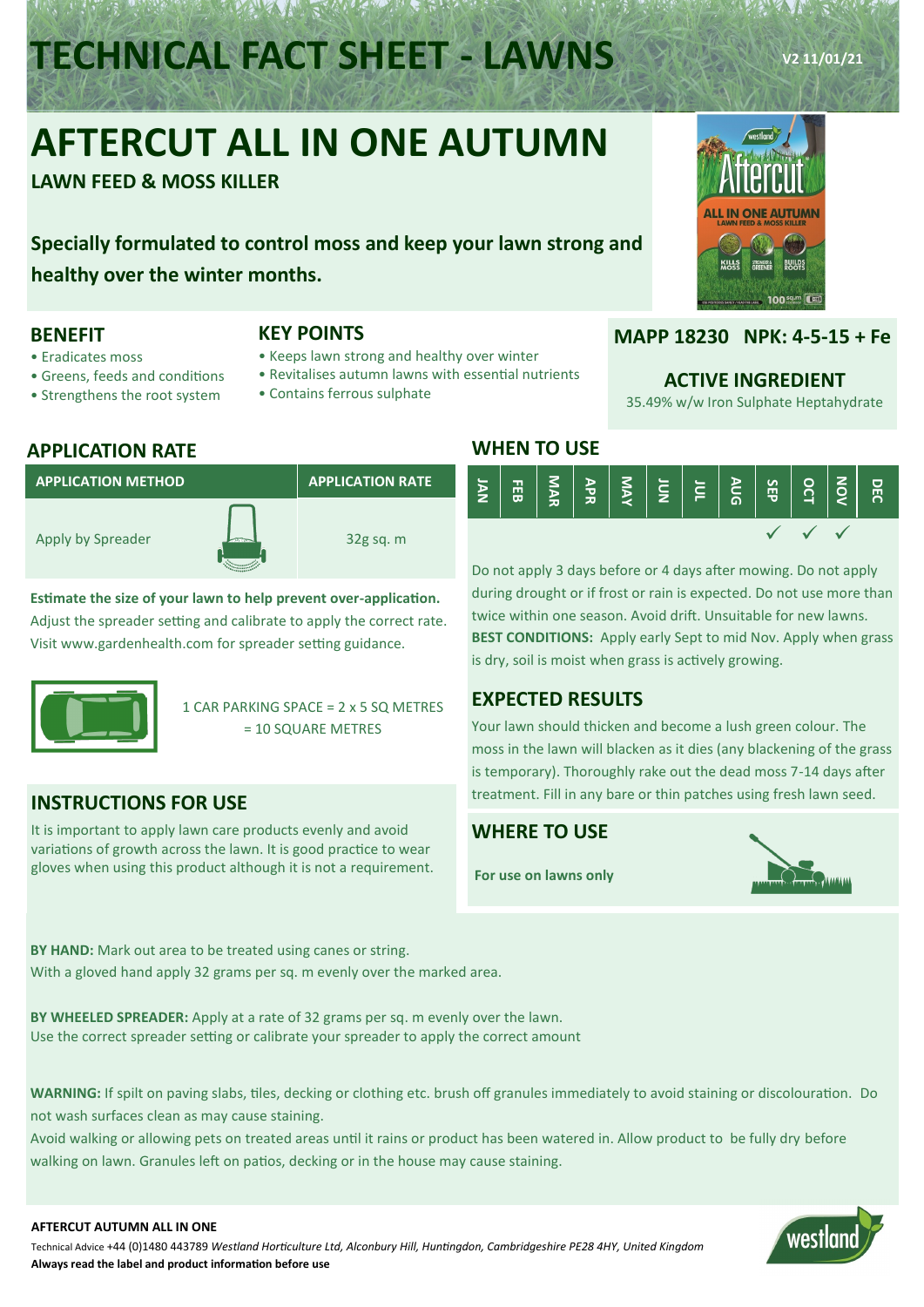# **TECHNICAL FACT SHEET - LAWNS V2 11/01/21**

## **AFTERCUT ALL IN ONE AUTUMN**

**LAWN FEED & MOSS KILLER**

**Specially formulated to control moss and keep your lawn strong and healthy over the winter months.**

• Contains ferrous sulphate

• Keeps lawn strong and healthy over winter • Revitalises autumn lawns with essential nutrients

**KEY POINTS**



#### **MAPP 18230 NPK: 4-5-15 + Fe**

## **ACTIVE INGREDIENT**

35.49% w/w Iron Sulphate Heptahydrate

## **APPLICATION RATE**

• Greens, feeds and conditions • Strengthens the root system

**BENEFIT** • Eradicates moss



**Estimate the size of your lawn to help prevent over-application.**  Adjust the spreader setting and calibrate to apply the correct rate. Visit www.gardenhealth.com for spreader setting guidance.



1 CAR PARKING SPACE = 2 x 5 SQ METRES = 10 SQUARE METRES

## **INSTRUCTIONS FOR USE**

It is important to apply lawn care products evenly and avoid variations of growth across the lawn. It is good practice to wear gloves when using this product although it is not a requirement.

## **WHEN TO USE**



Do not apply 3 days before or 4 days after mowing. Do not apply during drought or if frost or rain is expected. Do not use more than twice within one season. Avoid drift. Unsuitable for new lawns. **BEST CONDITIONS:** Apply early Sept to mid Nov. Apply when grass is dry, soil is moist when grass is actively growing.

#### **EXPECTED RESULTS**

Your lawn should thicken and become a lush green colour. The moss in the lawn will blacken as it dies (any blackening of the grass is temporary). Thoroughly rake out the dead moss 7-14 days after treatment. Fill in any bare or thin patches using fresh lawn seed.

## **WHERE TO USE**

**For use on lawns only**

**BY HAND:** Mark out area to be treated using canes or string. With a gloved hand apply 32 grams per sq. m evenly over the marked area.

**BY WHEELED SPREADER:** Apply at a rate of 32 grams per sq. m evenly over the lawn. Use the correct spreader setting or calibrate your spreader to apply the correct amount

**WARNING:** If spilt on paving slabs, tiles, decking or clothing etc. brush off granules immediately to avoid staining or discolouration. Do not wash surfaces clean as may cause staining.

Avoid walking or allowing pets on treated areas until it rains or product has been watered in. Allow product to be fully dry before walking on lawn. Granules left on patios, decking or in the house may cause staining.



#### **AFTERCUT AUTUMN ALL IN ONE**

Technical Advice +44 (0)1480 443789 *Westland Horticulture Ltd, Alconbury Hill, Huntingdon, Cambridgeshire PE28 4HY, United Kingdom* **Always read the label and product information before use**